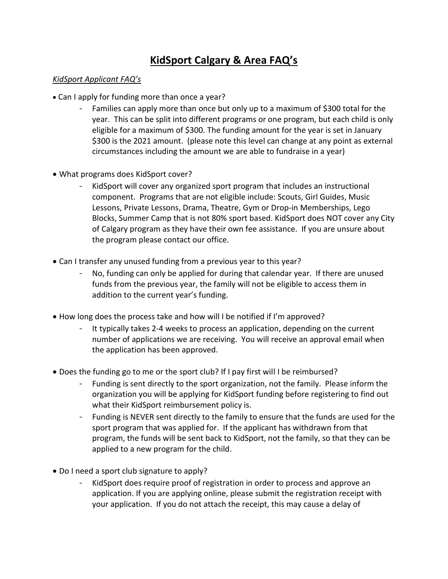## **KidSport Calgary & Area FAQ's**

## *KidSport Applicant FAQ's*

- Can I apply for funding more than once a year?
	- Families can apply more than once but only up to a maximum of \$300 total for the year. This can be split into different programs or one program, but each child is only eligible for a maximum of \$300. The funding amount for the year is set in January \$300 is the 2021 amount. (please note this level can change at any point as external circumstances including the amount we are able to fundraise in a year)
- What programs does KidSport cover?
	- KidSport will cover any organized sport program that includes an instructional component. Programs that are not eligible include: Scouts, Girl Guides, Music Lessons, Private Lessons, Drama, Theatre, Gym or Drop-in Memberships, Lego Blocks, Summer Camp that is not 80% sport based. KidSport does NOT cover any City of Calgary program as they have their own fee assistance. If you are unsure about the program please contact our office.
- Can I transfer any unused funding from a previous year to this year?
	- No, funding can only be applied for during that calendar year. If there are unused funds from the previous year, the family will not be eligible to access them in addition to the current year's funding.
- How long does the process take and how will I be notified if I'm approved?
	- It typically takes 2-4 weeks to process an application, depending on the current number of applications we are receiving. You will receive an approval email when the application has been approved.
- Does the funding go to me or the sport club? If I pay first will I be reimbursed?
	- Funding is sent directly to the sport organization, not the family. Please inform the organization you will be applying for KidSport funding before registering to find out what their KidSport reimbursement policy is.
	- Funding is NEVER sent directly to the family to ensure that the funds are used for the sport program that was applied for. If the applicant has withdrawn from that program, the funds will be sent back to KidSport, not the family, so that they can be applied to a new program for the child.
- Do I need a sport club signature to apply?
	- KidSport does require proof of registration in order to process and approve an application. If you are applying online, please submit the registration receipt with your application. If you do not attach the receipt, this may cause a delay of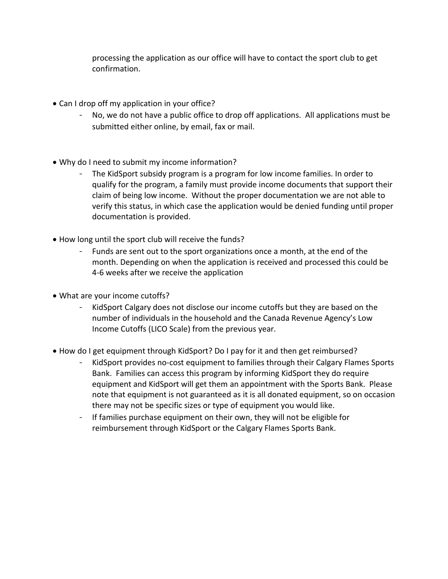processing the application as our office will have to contact the sport club to get confirmation.

- Can I drop off my application in your office?
	- No, we do not have a public office to drop off applications. All applications must be submitted either online, by email, fax or mail.
- Why do I need to submit my income information?
	- The KidSport subsidy program is a program for low income families. In order to qualify for the program, a family must provide income documents that support their claim of being low income. Without the proper documentation we are not able to verify this status, in which case the application would be denied funding until proper documentation is provided.
- How long until the sport club will receive the funds?
	- Funds are sent out to the sport organizations once a month, at the end of the month. Depending on when the application is received and processed this could be 4-6 weeks after we receive the application
- What are your income cutoffs?
	- KidSport Calgary does not disclose our income cutoffs but they are based on the number of individuals in the household and the Canada Revenue Agency's Low Income Cutoffs (LICO Scale) from the previous year.
- How do I get equipment through KidSport? Do I pay for it and then get reimbursed?
	- KidSport provides no-cost equipment to families through their Calgary Flames Sports Bank. Families can access this program by informing KidSport they do require equipment and KidSport will get them an appointment with the Sports Bank. Please note that equipment is not guaranteed as it is all donated equipment, so on occasion there may not be specific sizes or type of equipment you would like.
	- If families purchase equipment on their own, they will not be eligible for reimbursement through KidSport or the Calgary Flames Sports Bank.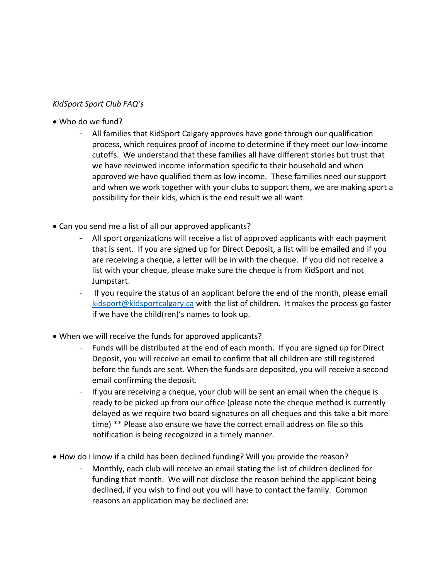## *KidSport Sport Club FAQ's*

- Who do we fund?
	- All families that KidSport Calgary approves have gone through our qualification process, which requires proof of income to determine if they meet our low-income cutoffs. We understand that these families all have different stories but trust that we have reviewed income information specific to their household and when approved we have qualified them as low income. These families need our support and when we work together with your clubs to support them, we are making sport a possibility for their kids, which is the end result we all want.
- Can you send me a list of all our approved applicants?
	- All sport organizations will receive a list of approved applicants with each payment that is sent. If you are signed up for Direct Deposit, a list will be emailed and if you are receiving a cheque, a letter will be in with the cheque. If you did not receive a list with your cheque, please make sure the cheque is from KidSport and not Jumpstart.
	- If you require the status of an applicant before the end of the month, please email [kidsport@kidsportcalgary.ca](mailto:kidsport@kidsportcalgary.ca) with the list of children. It makes the process go faster if we have the child(ren)'s names to look up.
- When we will receive the funds for approved applicants?
	- Funds will be distributed at the end of each month. If you are signed up for Direct Deposit, you will receive an email to confirm that all children are still registered before the funds are sent. When the funds are deposited, you will receive a second email confirming the deposit.
	- If you are receiving a cheque, your club will be sent an email when the cheque is ready to be picked up from our office (please note the cheque method is currently delayed as we require two board signatures on all cheques and this take a bit more time) \*\* Please also ensure we have the correct email address on file so this notification is being recognized in a timely manner.
- How do I know if a child has been declined funding? Will you provide the reason?
	- Monthly, each club will receive an email stating the list of children declined for funding that month. We will not disclose the reason behind the applicant being declined, if you wish to find out you will have to contact the family. Common reasons an application may be declined are: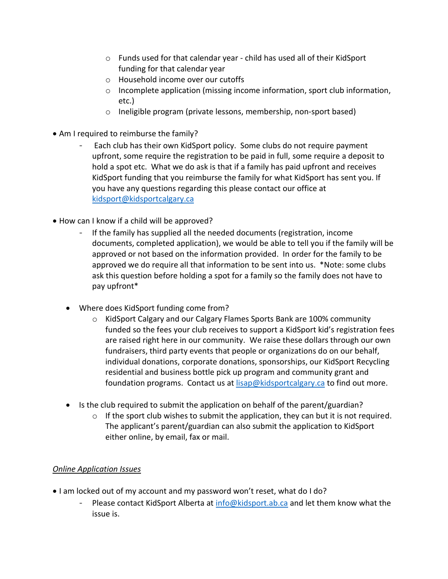- o Funds used for that calendar year child has used all of their KidSport funding for that calendar year
- o Household income over our cutoffs
- $\circ$  Incomplete application (missing income information, sport club information, etc.)
- o Ineligible program (private lessons, membership, non-sport based)
- Am I required to reimburse the family?
	- Each club has their own KidSport policy. Some clubs do not require payment upfront, some require the registration to be paid in full, some require a deposit to hold a spot etc. What we do ask is that if a family has paid upfront and receives KidSport funding that you reimburse the family for what KidSport has sent you. If you have any questions regarding this please contact our office at [kidsport@kidsportcalgary.ca](mailto:kidsport@kidsportcalgary.ca)
- How can I know if a child will be approved?
	- If the family has supplied all the needed documents (registration, income documents, completed application), we would be able to tell you if the family will be approved or not based on the information provided. In order for the family to be approved we do require all that information to be sent into us. \*Note: some clubs ask this question before holding a spot for a family so the family does not have to pay upfront\*
	- Where does KidSport funding come from?
		- o KidSport Calgary and our Calgary Flames Sports Bank are 100% community funded so the fees your club receives to support a KidSport kid's registration fees are raised right here in our community. We raise these dollars through our own fundraisers, third party events that people or organizations do on our behalf, individual donations, corporate donations, sponsorships, our KidSport Recycling residential and business bottle pick up program and community grant and foundation programs. Contact us a[t lisap@kidsportcalgary.ca](mailto:lisap@kidsportcalgary.ca) to find out more.
	- Is the club required to submit the application on behalf of the parent/guardian?
		- $\circ$  If the sport club wishes to submit the application, they can but it is not required. The applicant's parent/guardian can also submit the application to KidSport either online, by email, fax or mail.

## *Online Application Issues*

- I am locked out of my account and my password won't reset, what do I do?
	- Please contact KidSport Alberta at [info@kidsport.ab.ca](mailto:info@kidsport.ab.ca) and let them know what the issue is.